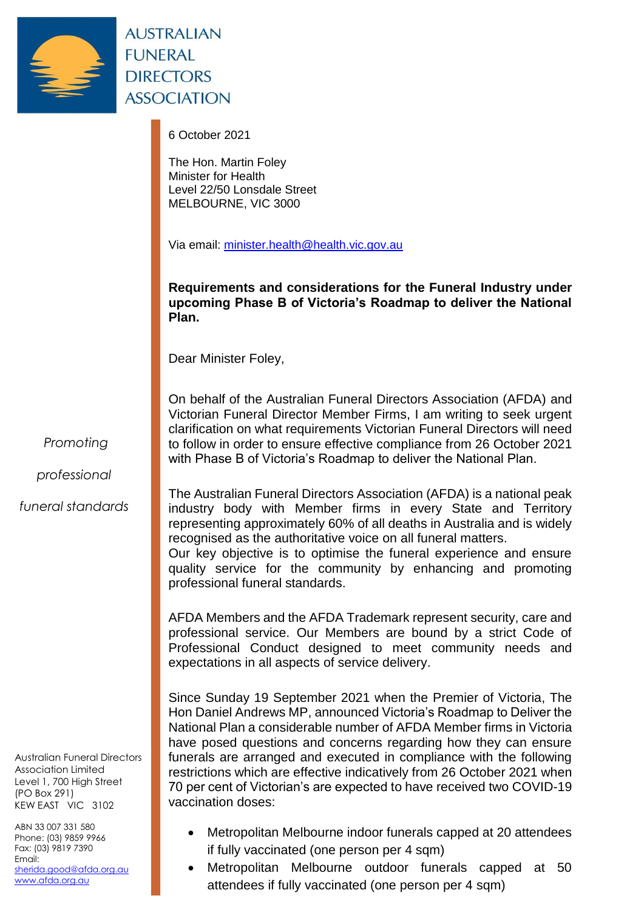

**AUSTRALIAN FUNERAL DIRECTORS ASSOCIATION** 

6 October 2021

The Hon. Martin Foley Minister for Health Level 22/50 Lonsdale Street MELBOURNE, VIC 3000

Via email: [minister.health@health.vic.gov.au](mailto:minister.health@health.vic.gov.au)

**Requirements and considerations for the Funeral Industry under upcoming Phase B of Victoria's Roadmap to deliver the National Plan.**

Dear Minister Foley,

On behalf of the Australian Funeral Directors Association (AFDA) and Victorian Funeral Director Member Firms, I am writing to seek urgent clarification on what requirements Victorian Funeral Directors will need to follow in order to ensure effective compliance from 26 October 2021 with Phase B of Victoria's Roadmap to deliver the National Plan.

*Promoting*

*professional*

*funeral standards*

Australian Funeral Directors Association Limited Level 1, 700 High Street (PO Box 291) KEW EAST VIC 3102

ABN 33 007 331 580 Phone: (03) 9859 9966 Fax: (03) 9819 7390 Email: [sherida.good@afda.org.au](mailto:sherida.good@afda.org.au) [www.afda.org.au](http://www.afda.org.au/)

The Australian Funeral Directors Association (AFDA) is a national peak industry body with Member firms in every State and Territory representing approximately 60% of all deaths in Australia and is widely recognised as the authoritative voice on all funeral matters. Our key objective is to optimise the funeral experience and ensure

quality service for the community by enhancing and promoting professional funeral standards.

AFDA Members and the AFDA Trademark represent security, care and professional service. Our Members are bound by a strict Code of Professional Conduct designed to meet community needs and expectations in all aspects of service delivery.

Since Sunday 19 September 2021 when the Premier of Victoria, The Hon Daniel Andrews MP, announced Victoria's Roadmap to Deliver the National Plan a considerable number of AFDA Member firms in Victoria have posed questions and concerns regarding how they can ensure funerals are arranged and executed in compliance with the following restrictions which are effective indicatively from 26 October 2021 when 70 per cent of Victorian's are expected to have received two COVID-19 vaccination doses:

- Metropolitan Melbourne indoor funerals capped at 20 attendees if fully vaccinated (one person per 4 sqm)
- Metropolitan Melbourne outdoor funerals capped at 50 attendees if fully vaccinated (one person per 4 sqm)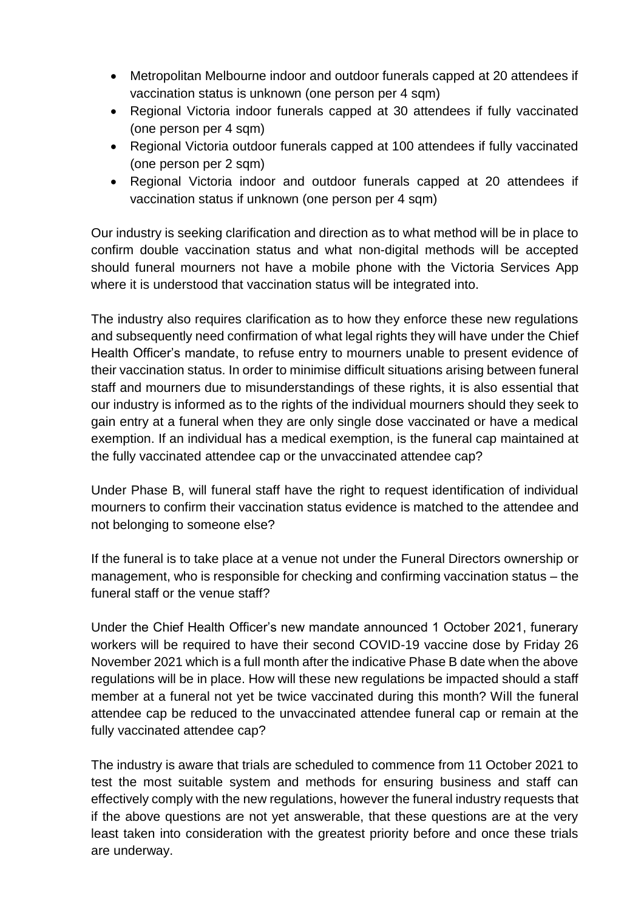- Metropolitan Melbourne indoor and outdoor funerals capped at 20 attendees if vaccination status is unknown (one person per 4 sqm)
- Regional Victoria indoor funerals capped at 30 attendees if fully vaccinated (one person per 4 sqm)
- Regional Victoria outdoor funerals capped at 100 attendees if fully vaccinated (one person per 2 sqm)
- Regional Victoria indoor and outdoor funerals capped at 20 attendees if vaccination status if unknown (one person per 4 sqm)

Our industry is seeking clarification and direction as to what method will be in place to confirm double vaccination status and what non-digital methods will be accepted should funeral mourners not have a mobile phone with the Victoria Services App where it is understood that vaccination status will be integrated into.

The industry also requires clarification as to how they enforce these new regulations and subsequently need confirmation of what legal rights they will have under the Chief Health Officer's mandate, to refuse entry to mourners unable to present evidence of their vaccination status. In order to minimise difficult situations arising between funeral staff and mourners due to misunderstandings of these rights, it is also essential that our industry is informed as to the rights of the individual mourners should they seek to gain entry at a funeral when they are only single dose vaccinated or have a medical exemption. If an individual has a medical exemption, is the funeral cap maintained at the fully vaccinated attendee cap or the unvaccinated attendee cap?

Under Phase B, will funeral staff have the right to request identification of individual mourners to confirm their vaccination status evidence is matched to the attendee and not belonging to someone else?

If the funeral is to take place at a venue not under the Funeral Directors ownership or management, who is responsible for checking and confirming vaccination status – the funeral staff or the venue staff?

Under the Chief Health Officer's new mandate announced 1 October 2021, funerary workers will be required to have their second COVID-19 vaccine dose by Friday 26 November 2021 which is a full month after the indicative Phase B date when the above regulations will be in place. How will these new regulations be impacted should a staff member at a funeral not yet be twice vaccinated during this month? Will the funeral attendee cap be reduced to the unvaccinated attendee funeral cap or remain at the fully vaccinated attendee cap?

The industry is aware that trials are scheduled to commence from 11 October 2021 to test the most suitable system and methods for ensuring business and staff can effectively comply with the new regulations, however the funeral industry requests that if the above questions are not yet answerable, that these questions are at the very least taken into consideration with the greatest priority before and once these trials are underway.